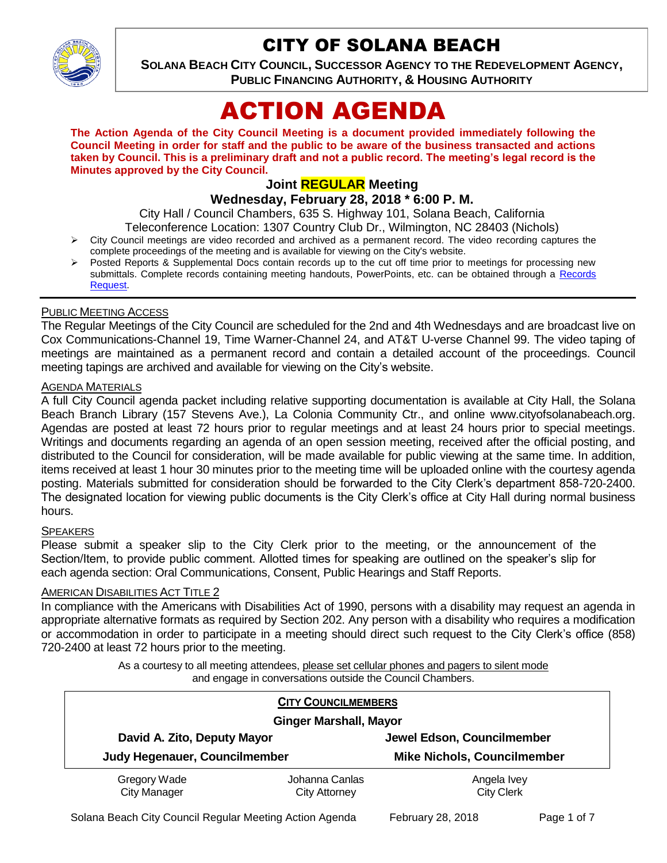

# CITY OF SOLANA BEACH

**SOLANA BEACH CITY COUNCIL, SUCCESSOR AGENCY TO THE REDEVELOPMENT AGENCY, PUBLIC FINANCING AUTHORITY, & HOUSING AUTHORITY** 

# ACTION AGENDA

**The Action Agenda of the City Council Meeting is a document provided immediately following the Council Meeting in order for staff and the public to be aware of the business transacted and actions taken by Council. This is a preliminary draft and not a public record. The meeting's legal record is the Minutes approved by the City Council.**

# **Joint REGULAR Meeting**

**Wednesday, February 28, 2018 \* 6:00 P. M.** 

City Hall / Council Chambers, 635 S. Highway 101, Solana Beach, California

Teleconference Location: 1307 Country Club Dr., Wilmington, NC 28403 (Nichols)

- $\triangleright$  City Council meetings are video recorded and archived as a permanent record. The video recording captures the complete proceedings of the meeting and is available for viewing on the City's website.
- Posted Reports & Supplemental Docs contain records up to the cut off time prior to meetings for processing new submittals. Complete records containing meeting handouts, PowerPoints, etc. can be obtained through a Records [Request.](http://www.ci.solana-beach.ca.us/index.asp?SEC=F5D45D10-70CE-4291-A27C-7BD633FC6742&Type=B_BASIC)

#### PUBLIC MEETING ACCESS

The Regular Meetings of the City Council are scheduled for the 2nd and 4th Wednesdays and are broadcast live on Cox Communications-Channel 19, Time Warner-Channel 24, and AT&T U-verse Channel 99. The video taping of meetings are maintained as a permanent record and contain a detailed account of the proceedings. Council meeting tapings are archived and available for viewing on the City's website.

#### **AGENDA MATERIALS**

A full City Council agenda packet including relative supporting documentation is available at City Hall, the Solana Beach Branch Library (157 Stevens Ave.), La Colonia Community Ctr., and online www.cityofsolanabeach.org. Agendas are posted at least 72 hours prior to regular meetings and at least 24 hours prior to special meetings. Writings and documents regarding an agenda of an open session meeting, received after the official posting, and distributed to the Council for consideration, will be made available for public viewing at the same time. In addition, items received at least 1 hour 30 minutes prior to the meeting time will be uploaded online with the courtesy agenda posting. Materials submitted for consideration should be forwarded to the City Clerk's department 858-720-2400. The designated location for viewing public documents is the City Clerk's office at City Hall during normal business hours.

#### **SPEAKERS**

Please submit a speaker slip to the City Clerk prior to the meeting, or the announcement of the Section/Item, to provide public comment. Allotted times for speaking are outlined on the speaker's slip for each agenda section: Oral Communications, Consent, Public Hearings and Staff Reports.

#### **AMERICAN DISABILITIES ACT TITLE 2**

In compliance with the Americans with Disabilities Act of 1990, persons with a disability may request an agenda in appropriate alternative formats as required by Section 202. Any person with a disability who requires a modification or accommodation in order to participate in a meeting should direct such request to the City Clerk's office (858) 720-2400 at least 72 hours prior to the meeting.

> As a courtesy to all meeting attendees, please set cellular phones and pagers to silent mode and engage in conversations outside the Council Chambers.

| <b>CITY COUNCILMEMBERS</b>          |                                        |                                    |
|-------------------------------------|----------------------------------------|------------------------------------|
| <b>Ginger Marshall, Mayor</b>       |                                        |                                    |
| David A. Zito, Deputy Mayor         |                                        | Jewel Edson, Councilmember         |
| Judy Hegenauer, Councilmember       |                                        | <b>Mike Nichols, Councilmember</b> |
| Gregory Wade<br><b>City Manager</b> | Johanna Canlas<br><b>City Attorney</b> | Angela Ivey<br><b>City Clerk</b>   |

Solana Beach City Council Regular Meeting Action Agenda February 28, 2018 Page 1 of 7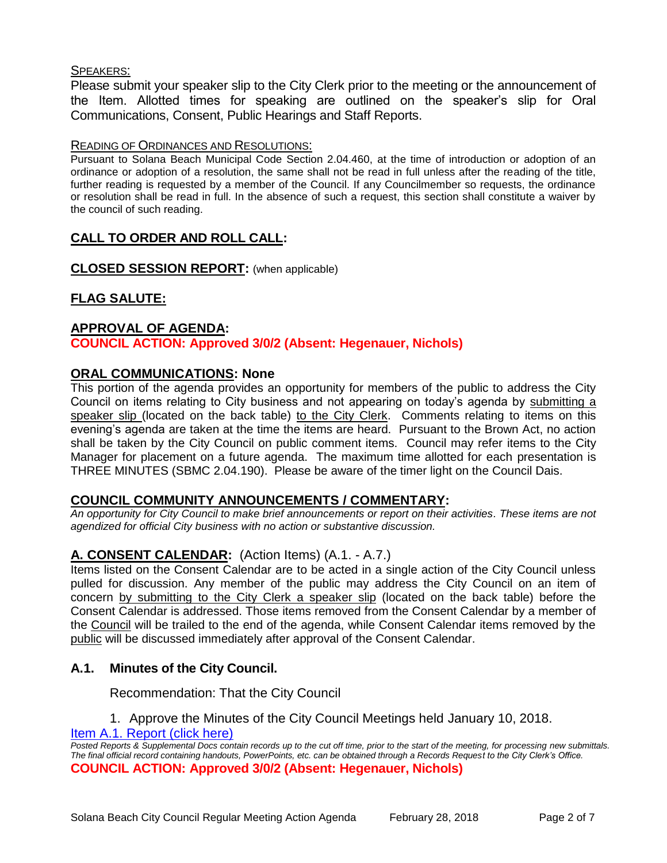#### SPEAKERS:

Please submit your speaker slip to the City Clerk prior to the meeting or the announcement of the Item. Allotted times for speaking are outlined on the speaker's slip for Oral Communications, Consent, Public Hearings and Staff Reports.

#### READING OF ORDINANCES AND RESOLUTIONS:

Pursuant to Solana Beach Municipal Code Section 2.04.460, at the time of introduction or adoption of an ordinance or adoption of a resolution, the same shall not be read in full unless after the reading of the title, further reading is requested by a member of the Council. If any Councilmember so requests, the ordinance or resolution shall be read in full. In the absence of such a request, this section shall constitute a waiver by the council of such reading.

# **CALL TO ORDER AND ROLL CALL:**

**CLOSED SESSION REPORT:** (when applicable)

# **FLAG SALUTE:**

#### **APPROVAL OF AGENDA:**

**COUNCIL ACTION: Approved 3/0/2 (Absent: Hegenauer, Nichols)**

#### **ORAL COMMUNICATIONS: None**

This portion of the agenda provides an opportunity for members of the public to address the City Council on items relating to City business and not appearing on today's agenda by submitting a speaker slip (located on the back table) to the City Clerk. Comments relating to items on this evening's agenda are taken at the time the items are heard. Pursuant to the Brown Act, no action shall be taken by the City Council on public comment items. Council may refer items to the City Manager for placement on a future agenda. The maximum time allotted for each presentation is THREE MINUTES (SBMC 2.04.190). Please be aware of the timer light on the Council Dais.

#### **COUNCIL COMMUNITY ANNOUNCEMENTS / COMMENTARY:**

*An opportunity for City Council to make brief announcements or report on their activities. These items are not agendized for official City business with no action or substantive discussion.* 

#### **A. CONSENT CALENDAR:** (Action Items) (A.1. - A.7.)

Items listed on the Consent Calendar are to be acted in a single action of the City Council unless pulled for discussion. Any member of the public may address the City Council on an item of concern by submitting to the City Clerk a speaker slip (located on the back table) before the Consent Calendar is addressed. Those items removed from the Consent Calendar by a member of the Council will be trailed to the end of the agenda, while Consent Calendar items removed by the public will be discussed immediately after approval of the Consent Calendar.

#### **A.1. Minutes of the City Council.**

Recommendation: That the City Council

1. Approve the Minutes of the City Council Meetings held January 10, 2018.

[Item A.1. Report \(click here\)](https://solanabeach.govoffice3.com/vertical/Sites/%7B840804C2-F869-4904-9AE3-720581350CE7%7D/uploads/Item_A.1._Report_(click_here)_-_02-08-18.pdf)

*Posted Reports & Supplemental Docs contain records up to the cut off time, prior to the start of the meeting, for processing new submittals. The final official record containing handouts, PowerPoints, etc. can be obtained through a Records Request to the City Clerk's Office.* **COUNCIL ACTION: Approved 3/0/2 (Absent: Hegenauer, Nichols)**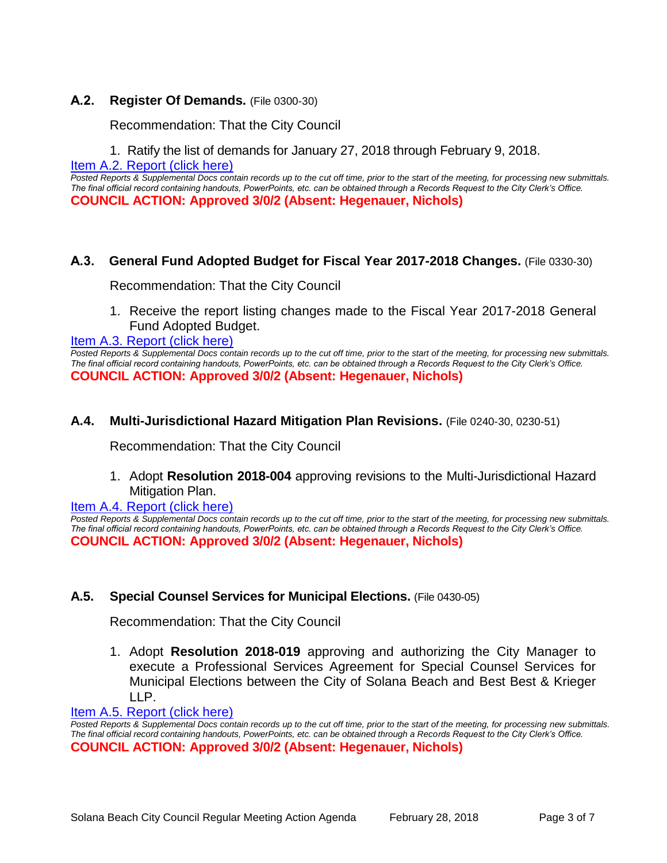#### **A.2. Register Of Demands.** (File 0300-30)

Recommendation: That the City Council

1. Ratify the list of demands for January 27, 2018 through February 9, 2018.

[Item A.2. Report \(click here\)](https://solanabeach.govoffice3.com/vertical/Sites/%7B840804C2-F869-4904-9AE3-720581350CE7%7D/uploads/Item_A.2._Report_(click_here)_-_02-28-18.pdf)

*Posted Reports & Supplemental Docs contain records up to the cut off time, prior to the start of the meeting, for processing new submittals. The final official record containing handouts, PowerPoints, etc. can be obtained through a Records Request to the City Clerk's Office.* **COUNCIL ACTION: Approved 3/0/2 (Absent: Hegenauer, Nichols)**

#### **A.3. General Fund Adopted Budget for Fiscal Year 2017-2018 Changes.** (File 0330-30)

Recommendation: That the City Council

1. Receive the report listing changes made to the Fiscal Year 2017-2018 General Fund Adopted Budget.

[Item A.3. Report \(click here\)](https://solanabeach.govoffice3.com/vertical/Sites/%7B840804C2-F869-4904-9AE3-720581350CE7%7D/uploads/Item_A.3._Report_(click_here)_-_02-28-18.PDF)

*Posted Reports & Supplemental Docs contain records up to the cut off time, prior to the start of the meeting, for processing new submittals. The final official record containing handouts, PowerPoints, etc. can be obtained through a Records Request to the City Clerk's Office.* **COUNCIL ACTION: Approved 3/0/2 (Absent: Hegenauer, Nichols)**

**A.4. Multi-Jurisdictional Hazard Mitigation Plan Revisions.** (File 0240-30, 0230-51)

Recommendation: That the City Council

1. Adopt **Resolution 2018-004** approving revisions to the Multi-Jurisdictional Hazard Mitigation Plan.

[Item A.4. Report \(click here\)](https://solanabeach.govoffice3.com/vertical/Sites/%7B840804C2-F869-4904-9AE3-720581350CE7%7D/uploads/Item_A.4._Report_(click_here)_-_02-28-18.PDF)

*Posted Reports & Supplemental Docs contain records up to the cut off time, prior to the start of the meeting, for processing new submittals. The final official record containing handouts, PowerPoints, etc. can be obtained through a Records Request to the City Clerk's Office.* **COUNCIL ACTION: Approved 3/0/2 (Absent: Hegenauer, Nichols)**

#### **A.5. Special Counsel Services for Municipal Elections.** (File 0430-05)

Recommendation: That the City Council

1. Adopt **Resolution 2018-019** approving and authorizing the City Manager to execute a Professional Services Agreement for Special Counsel Services for Municipal Elections between the City of Solana Beach and Best Best & Krieger LLP.

[Item A.5. Report \(click here\)](https://solanabeach.govoffice3.com/vertical/Sites/%7B840804C2-F869-4904-9AE3-720581350CE7%7D/uploads/Item_A.5._Report_(click_here)_-_02-28-18.PDF)

*Posted Reports & Supplemental Docs contain records up to the cut off time, prior to the start of the meeting, for processing new submittals. The final official record containing handouts, PowerPoints, etc. can be obtained through a Records Request to the City Clerk's Office.* **COUNCIL ACTION: Approved 3/0/2 (Absent: Hegenauer, Nichols)**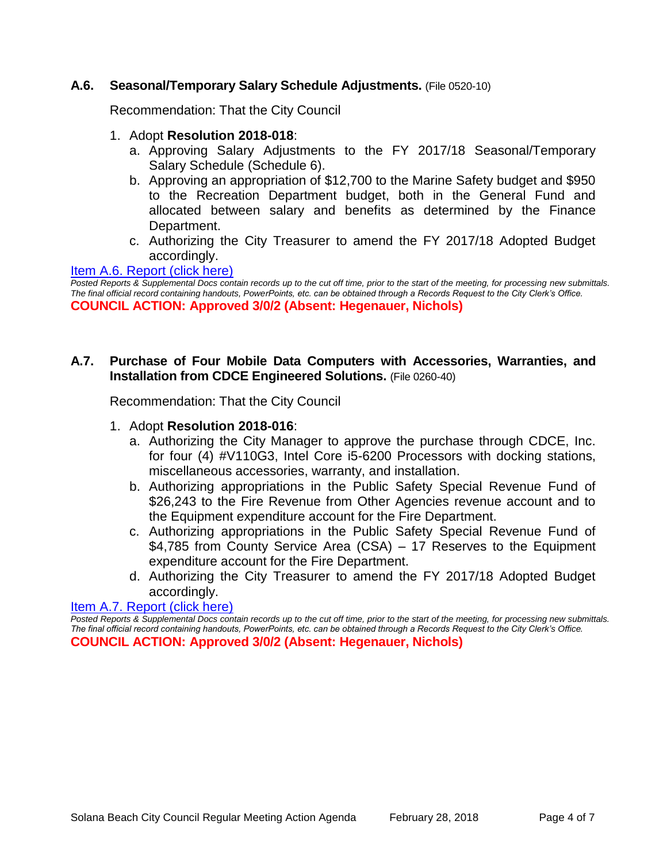#### **A.6. Seasonal/Temporary Salary Schedule Adjustments.** (File 0520-10)

Recommendation: That the City Council

- 1. Adopt **Resolution 2018-018**:
	- a. Approving Salary Adjustments to the FY 2017/18 Seasonal/Temporary Salary Schedule (Schedule 6).
	- b. Approving an appropriation of \$12,700 to the Marine Safety budget and \$950 to the Recreation Department budget, both in the General Fund and allocated between salary and benefits as determined by the Finance Department.
	- c. Authorizing the City Treasurer to amend the FY 2017/18 Adopted Budget accordingly.

[Item A.6. Report \(click here\)](https://solanabeach.govoffice3.com/vertical/Sites/%7B840804C2-F869-4904-9AE3-720581350CE7%7D/uploads/Item_A.6._Report_(click_here)_-_02-28-18.PDF)

*Posted Reports & Supplemental Docs contain records up to the cut off time, prior to the start of the meeting, for processing new submittals. The final official record containing handouts, PowerPoints, etc. can be obtained through a Records Request to the City Clerk's Office.* **COUNCIL ACTION: Approved 3/0/2 (Absent: Hegenauer, Nichols)**

### **A.7. Purchase of Four Mobile Data Computers with Accessories, Warranties, and Installation from CDCE Engineered Solutions.** (File 0260-40)

Recommendation: That the City Council

- 1. Adopt **Resolution 2018-016**:
	- a. Authorizing the City Manager to approve the purchase through CDCE, Inc. for four (4) #V110G3, Intel Core i5-6200 Processors with docking stations, miscellaneous accessories, warranty, and installation.
	- b. Authorizing appropriations in the Public Safety Special Revenue Fund of \$26,243 to the Fire Revenue from Other Agencies revenue account and to the Equipment expenditure account for the Fire Department.
	- c. Authorizing appropriations in the Public Safety Special Revenue Fund of \$4,785 from County Service Area (CSA) – 17 Reserves to the Equipment expenditure account for the Fire Department.
	- d. Authorizing the City Treasurer to amend the FY 2017/18 Adopted Budget accordingly.

[Item A.7. Report \(click here\)](https://solanabeach.govoffice3.com/vertical/Sites/%7B840804C2-F869-4904-9AE3-720581350CE7%7D/uploads/Item_A.7._Report_(click_here)_-_02-28-18.PDF)

*Posted Reports & Supplemental Docs contain records up to the cut off time, prior to the start of the meeting, for processing new submittals. The final official record containing handouts, PowerPoints, etc. can be obtained through a Records Request to the City Clerk's Office.* **COUNCIL ACTION: Approved 3/0/2 (Absent: Hegenauer, Nichols)**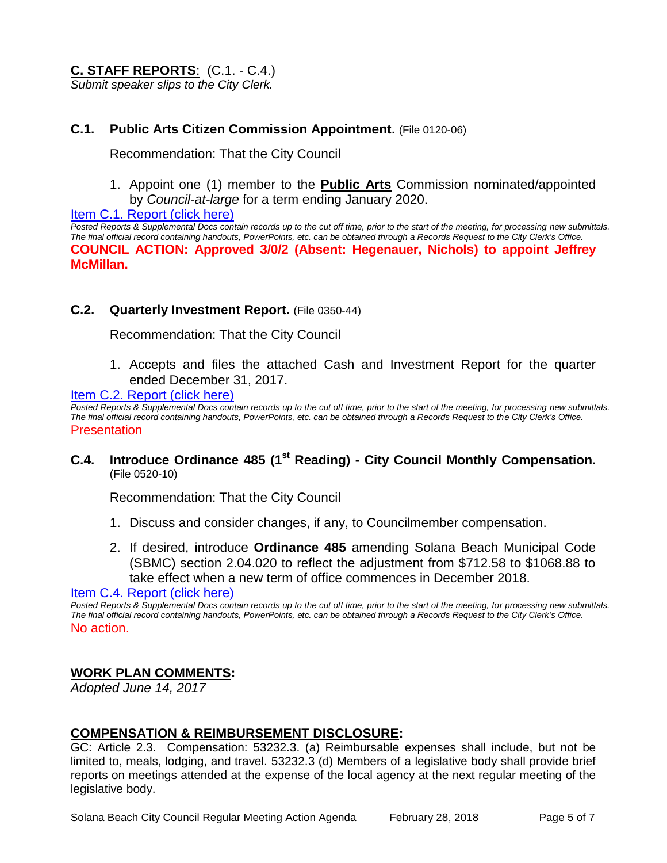# **C. STAFF REPORTS**: (C.1. - C.4.)

*Submit speaker slips to the City Clerk.*

#### **C.1. Public Arts Citizen Commission Appointment.** (File 0120-06)

Recommendation: That the City Council

1. Appoint one (1) member to the **Public Arts** Commission nominated/appointed by *Council-at-large* for a term ending January 2020.

[Item C.1. Report \(click here\)](https://solanabeach.govoffice3.com/vertical/Sites/%7B840804C2-F869-4904-9AE3-720581350CE7%7D/uploads/Item_C.1._Report_(click_here)_-_02-28-18.PDF)

*Posted Reports & Supplemental Docs contain records up to the cut off time, prior to the start of the meeting, for processing new submittals. The final official record containing handouts, PowerPoints, etc. can be obtained through a Records Request to the City Clerk's Office.* **COUNCIL ACTION: Approved 3/0/2 (Absent: Hegenauer, Nichols) to appoint Jeffrey McMillan.** 

#### **C.2. Quarterly Investment Report.** (File 0350-44)

Recommendation: That the City Council

1. Accepts and files the attached Cash and Investment Report for the quarter ended December 31, 2017.

[Item C.2. Report \(click here\)](https://solanabeach.govoffice3.com/vertical/Sites/%7B840804C2-F869-4904-9AE3-720581350CE7%7D/uploads/Item_C.2._Report_(click_here)_-_02-08-18.PDF)

*Posted Reports & Supplemental Docs contain records up to the cut off time, prior to the start of the meeting, for processing new submittals. The final official record containing handouts, PowerPoints, etc. can be obtained through a Records Request to the City Clerk's Office.* Presentation

#### **C.4. Introduce Ordinance 485 (1st Reading) - City Council Monthly Compensation.** (File 0520-10)

Recommendation: That the City Council

- 1. Discuss and consider changes, if any, to Councilmember compensation.
- 2. If desired, introduce **Ordinance 485** amending Solana Beach Municipal Code (SBMC) section 2.04.020 to reflect the adjustment from \$712.58 to \$1068.88 to take effect when a new term of office commences in December 2018.

[Item C.4. Report \(click here\)](https://solanabeach.govoffice3.com/vertical/Sites/%7B840804C2-F869-4904-9AE3-720581350CE7%7D/uploads/Item_C.4._Report_(click_here)_-_02-28-18.PDF)

*Posted Reports & Supplemental Docs contain records up to the cut off time, prior to the start of the meeting, for processing new submittals. The final official record containing handouts, PowerPoints, etc. can be obtained through a Records Request to the City Clerk's Office.* No action.

#### **WORK PLAN COMMENTS:**

*Adopted June 14, 2017*

#### **COMPENSATION & REIMBURSEMENT DISCLOSURE:**

GC: Article 2.3. Compensation: 53232.3. (a) Reimbursable expenses shall include, but not be limited to, meals, lodging, and travel. 53232.3 (d) Members of a legislative body shall provide brief reports on meetings attended at the expense of the local agency at the next regular meeting of the legislative body.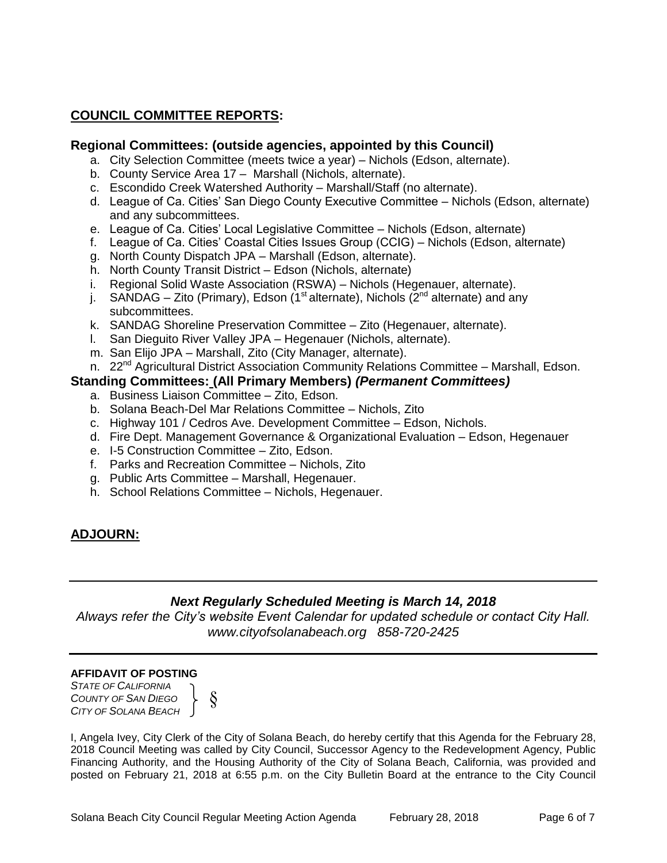# **COUNCIL COMMITTEE REPORTS:**

#### **Regional Committees: (outside agencies, appointed by this Council)**

- a. City Selection Committee (meets twice a year) Nichols (Edson, alternate).
- b. County Service Area 17 Marshall (Nichols, alternate).
- c. Escondido Creek Watershed Authority Marshall/Staff (no alternate).
- d. League of Ca. Cities' San Diego County Executive Committee Nichols (Edson, alternate) and any subcommittees.
- e. League of Ca. Cities' Local Legislative Committee Nichols (Edson, alternate)
- f. League of Ca. Cities' Coastal Cities Issues Group (CCIG) Nichols (Edson, alternate)
- g. North County Dispatch JPA Marshall (Edson, alternate).
- h. North County Transit District Edson (Nichols, alternate)
- i. Regional Solid Waste Association (RSWA) Nichols (Hegenauer, alternate).
- j. SANDAG Zito (Primary), Edson (1<sup>st</sup> alternate), Nichols (2<sup>nd</sup> alternate) and any subcommittees.
- k. SANDAG Shoreline Preservation Committee Zito (Hegenauer, alternate).
- l. San Dieguito River Valley JPA Hegenauer (Nichols, alternate).
- m. San Elijo JPA Marshall, Zito (City Manager, alternate).
- n. 22<sup>nd</sup> Agricultural District Association Community Relations Committee Marshall, Edson.

#### **Standing Committees: (All Primary Members)** *(Permanent Committees)*

- a. Business Liaison Committee Zito, Edson.
- b. Solana Beach-Del Mar Relations Committee Nichols, Zito
- c. Highway 101 / Cedros Ave. Development Committee Edson, Nichols.
- d. Fire Dept. Management Governance & Organizational Evaluation Edson, Hegenauer
- e. I-5 Construction Committee Zito, Edson.
- f. Parks and Recreation Committee Nichols, Zito
- g. Public Arts Committee Marshall, Hegenauer.
- h. School Relations Committee Nichols, Hegenauer.

# **ADJOURN:**

# *Next Regularly Scheduled Meeting is March 14, 2018*

*Always refer the City's website Event Calendar for updated schedule or contact City Hall. www.cityofsolanabeach.org 858-720-2425*

#### **AFFIDAVIT OF POSTING**

*STATE OF CALIFORNIA COUNTY OF SAN DIEGO CITY OF SOLANA BEACH*



I, Angela Ivey, City Clerk of the City of Solana Beach, do hereby certify that this Agenda for the February 28, 2018 Council Meeting was called by City Council, Successor Agency to the Redevelopment Agency, Public Financing Authority, and the Housing Authority of the City of Solana Beach, California, was provided and posted on February 21, 2018 at 6:55 p.m. on the City Bulletin Board at the entrance to the City Council